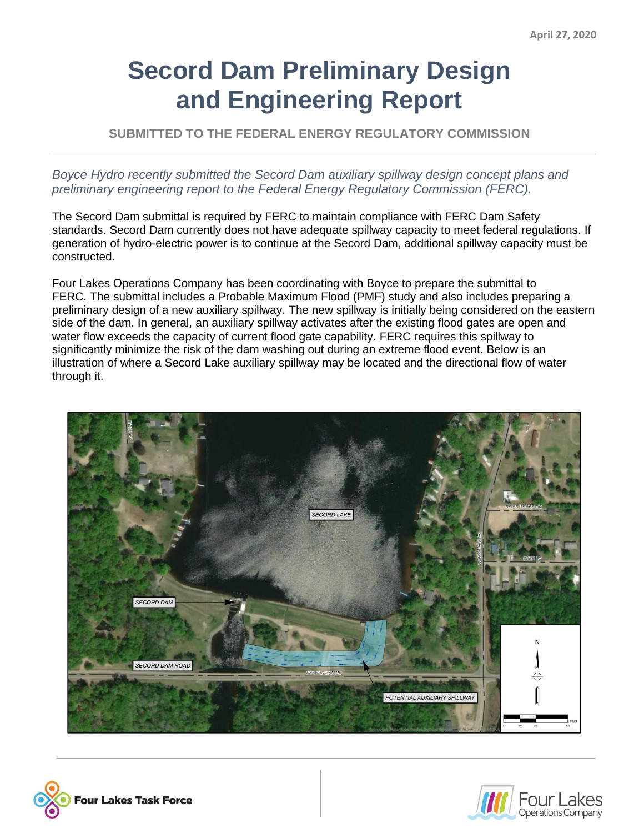## **Secord Dam Preliminary Design and Engineering Report**

**SUBMITTED TO THE FEDERAL ENERGY REGULATORY COMMISSION**

*Boyce Hydro recently submitted the Secord Dam auxiliary spillway design concept plans and preliminary engineering report to the Federal Energy Regulatory Commission (FERC).*

The Secord Dam submittal is required by FERC to maintain compliance with FERC Dam Safety standards. Secord Dam currently does not have adequate spillway capacity to meet federal regulations. If generation of hydro-electric power is to continue at the Secord Dam, additional spillway capacity must be constructed.

Four Lakes Operations Company has been coordinating with Boyce to prepare the submittal to FERC. The submittal includes a Probable Maximum Flood (PMF) study and also includes preparing a preliminary design of a new auxiliary spillway. The new spillway is initially being considered on the eastern side of the dam. In general, an auxiliary spillway activates after the existing flood gates are open and water flow exceeds the capacity of current flood gate capability. FERC requires this spillway to significantly minimize the risk of the dam washing out during an extreme flood event. Below is an illustration of where a Secord Lake auxiliary spillway may be located and the directional flow of water through it.